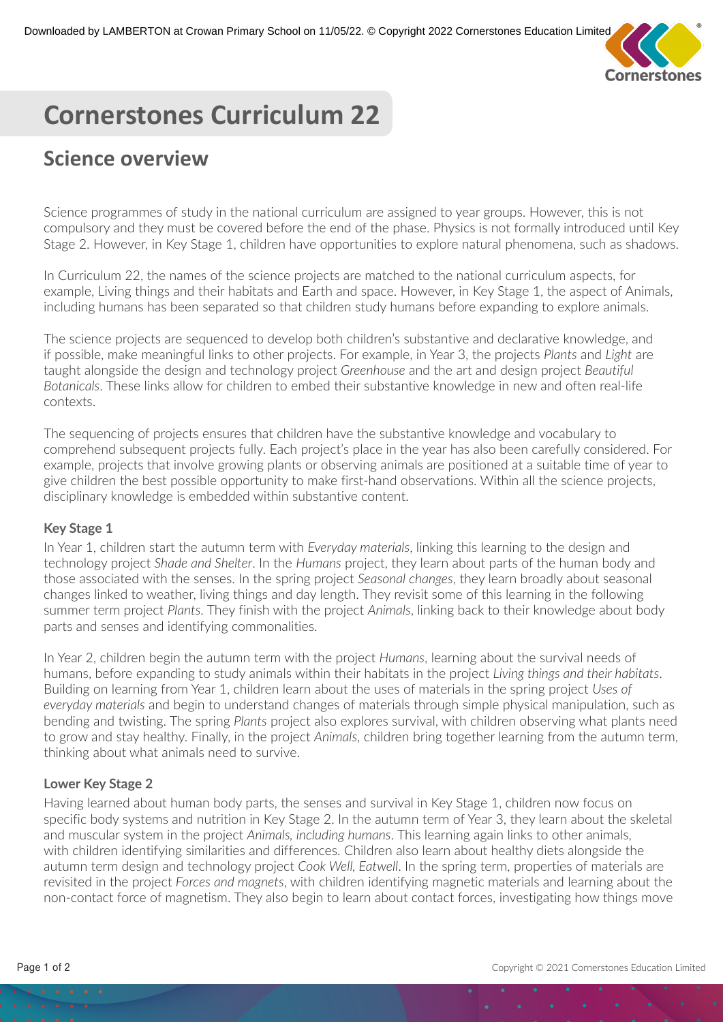

# **Cornerstones Curriculum 22**

# **Science overview**

Science programmes of study in the national curriculum are assigned to year groups. However, this is not compulsory and they must be covered before the end of the phase. Physics is not formally introduced until Key Stage 2. However, in Key Stage 1, children have opportunities to explore natural phenomena, such as shadows.

In Curriculum 22, the names of the science projects are matched to the national curriculum aspects, for example, Living things and their habitats and Earth and space. However, in Key Stage 1, the aspect of Animals, including humans has been separated so that children study humans before expanding to explore animals.

The science projects are sequenced to develop both children's substantive and declarative knowledge, and if possible, make meaningful links to other projects. For example, in Year 3, the projects *Plants* and *Light* are taught alongside the design and technology project *Greenhouse* and the art and design project *Beautiful Botanicals*. These links allow for children to embed their substantive knowledge in new and often real-life contexts.

The sequencing of projects ensures that children have the substantive knowledge and vocabulary to comprehend subsequent projects fully. Each project's place in the year has also been carefully considered. For example, projects that involve growing plants or observing animals are positioned at a suitable time of year to give children the best possible opportunity to make first-hand observations. Within all the science projects, disciplinary knowledge is embedded within substantive content.

#### **Key Stage 1**

In Year 1, children start the autumn term with *Everyday materials*, linking this learning to the design and technology project *Shade and Shelter*. In the *Humans* project, they learn about parts of the human body and those associated with the senses. In the spring project *Seasonal changes*, they learn broadly about seasonal changes linked to weather, living things and day length. They revisit some of this learning in the following summer term project *Plants*. They finish with the project *Animals*, linking back to their knowledge about body parts and senses and identifying commonalities.

In Year 2, children begin the autumn term with the project *Humans*, learning about the survival needs of humans, before expanding to study animals within their habitats in the project *Living things and their habitats*. Building on learning from Year 1, children learn about the uses of materials in the spring project *Uses of everyday materials* and begin to understand changes of materials through simple physical manipulation, such as bending and twisting. The spring *Plants* project also explores survival, with children observing what plants need to grow and stay healthy. Finally, in the project *Animals*, children bring together learning from the autumn term, thinking about what animals need to survive.

## **Lower Key Stage 2**

Having learned about human body parts, the senses and survival in Key Stage 1, children now focus on specific body systems and nutrition in Key Stage 2. In the autumn term of Year 3, they learn about the skeletal and muscular system in the project *Animals, including humans*. This learning again links to other animals, with children identifying similarities and differences. Children also learn about healthy diets alongside the autumn term design and technology project *Cook Well, Eatwell*. In the spring term, properties of materials are revisited in the project *Forces and magnets*, with children identifying magnetic materials and learning about the non-contact force of magnetism. They also begin to learn about contact forces, investigating how things move